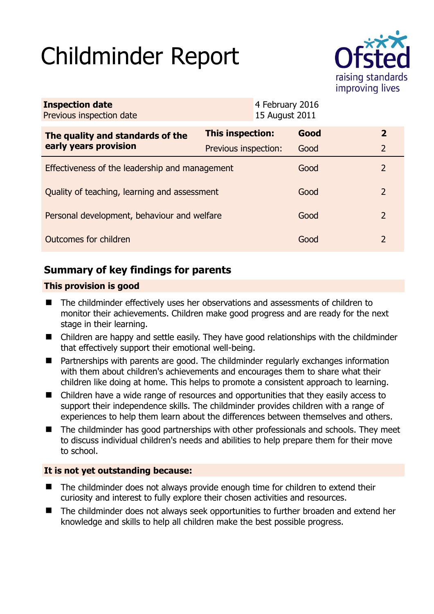# Childminder Report



| <b>Inspection date</b><br>Previous inspection date        |                      | 4 February 2016<br>15 August 2011 |      |               |
|-----------------------------------------------------------|----------------------|-----------------------------------|------|---------------|
| The quality and standards of the<br>early years provision | This inspection:     |                                   | Good | $\mathbf{2}$  |
|                                                           | Previous inspection: |                                   | Good | 2             |
| Effectiveness of the leadership and management            |                      |                                   | Good | $\mathcal{P}$ |
| Quality of teaching, learning and assessment              |                      |                                   | Good | $\mathcal{P}$ |
| Personal development, behaviour and welfare               |                      |                                   | Good | 2             |
| Outcomes for children                                     |                      |                                   | Good | $\mathcal{P}$ |

# **Summary of key findings for parents**

### **This provision is good**

- The childminder effectively uses her observations and assessments of children to monitor their achievements. Children make good progress and are ready for the next stage in their learning.
- Children are happy and settle easily. They have good relationships with the childminder that effectively support their emotional well-being.
- Partnerships with parents are good. The childminder regularly exchanges information with them about children's achievements and encourages them to share what their children like doing at home. This helps to promote a consistent approach to learning.
- Children have a wide range of resources and opportunities that they easily access to support their independence skills. The childminder provides children with a range of experiences to help them learn about the differences between themselves and others.
- The childminder has good partnerships with other professionals and schools. They meet to discuss individual children's needs and abilities to help prepare them for their move to school.

## **It is not yet outstanding because:**

- The childminder does not always provide enough time for children to extend their curiosity and interest to fully explore their chosen activities and resources.
- The childminder does not always seek opportunities to further broaden and extend her knowledge and skills to help all children make the best possible progress.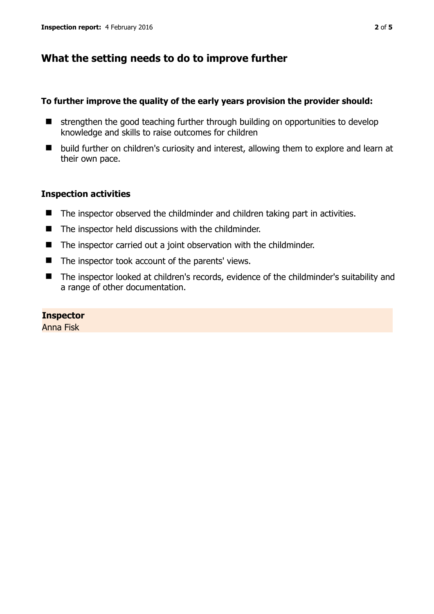## **What the setting needs to do to improve further**

#### **To further improve the quality of the early years provision the provider should:**

- $\blacksquare$  strengthen the good teaching further through building on opportunities to develop knowledge and skills to raise outcomes for children
- build further on children's curiosity and interest, allowing them to explore and learn at their own pace.

#### **Inspection activities**

- The inspector observed the childminder and children taking part in activities.
- The inspector held discussions with the childminder.
- The inspector carried out a joint observation with the childminder.
- The inspector took account of the parents' views.
- The inspector looked at children's records, evidence of the childminder's suitability and a range of other documentation.

#### **Inspector**

Anna Fisk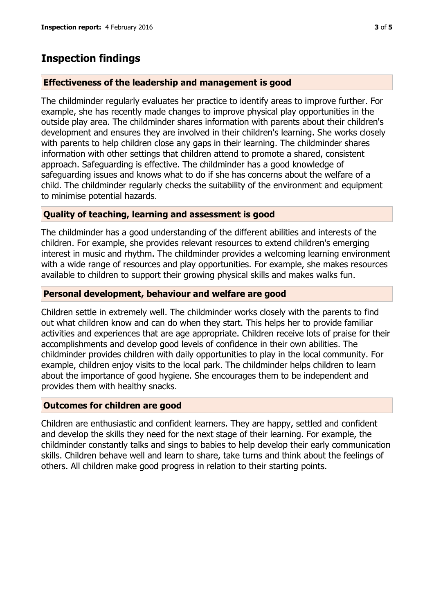## **Inspection findings**

#### **Effectiveness of the leadership and management is good**

The childminder regularly evaluates her practice to identify areas to improve further. For example, she has recently made changes to improve physical play opportunities in the outside play area. The childminder shares information with parents about their children's development and ensures they are involved in their children's learning. She works closely with parents to help children close any gaps in their learning. The childminder shares information with other settings that children attend to promote a shared, consistent approach. Safeguarding is effective. The childminder has a good knowledge of safeguarding issues and knows what to do if she has concerns about the welfare of a child. The childminder regularly checks the suitability of the environment and equipment to minimise potential hazards.

#### **Quality of teaching, learning and assessment is good**

The childminder has a good understanding of the different abilities and interests of the children. For example, she provides relevant resources to extend children's emerging interest in music and rhythm. The childminder provides a welcoming learning environment with a wide range of resources and play opportunities. For example, she makes resources available to children to support their growing physical skills and makes walks fun.

#### **Personal development, behaviour and welfare are good**

Children settle in extremely well. The childminder works closely with the parents to find out what children know and can do when they start. This helps her to provide familiar activities and experiences that are age appropriate. Children receive lots of praise for their accomplishments and develop good levels of confidence in their own abilities. The childminder provides children with daily opportunities to play in the local community. For example, children enjoy visits to the local park. The childminder helps children to learn about the importance of good hygiene. She encourages them to be independent and provides them with healthy snacks.

#### **Outcomes for children are good**

Children are enthusiastic and confident learners. They are happy, settled and confident and develop the skills they need for the next stage of their learning. For example, the childminder constantly talks and sings to babies to help develop their early communication skills. Children behave well and learn to share, take turns and think about the feelings of others. All children make good progress in relation to their starting points.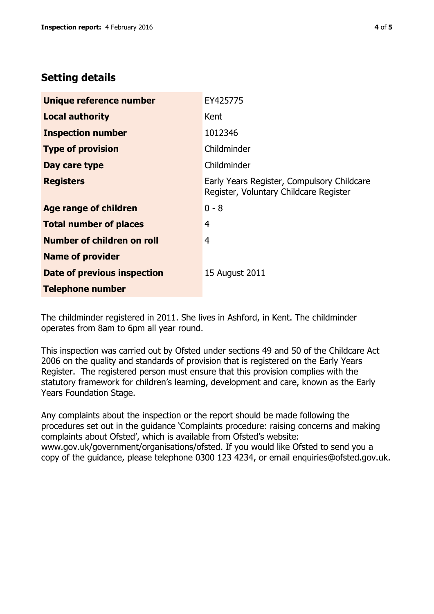# **Setting details**

| Unique reference number       | EY425775                                                                             |  |
|-------------------------------|--------------------------------------------------------------------------------------|--|
| <b>Local authority</b>        | Kent                                                                                 |  |
| <b>Inspection number</b>      | 1012346                                                                              |  |
| <b>Type of provision</b>      | Childminder                                                                          |  |
| Day care type                 | Childminder                                                                          |  |
| <b>Registers</b>              | Early Years Register, Compulsory Childcare<br>Register, Voluntary Childcare Register |  |
| Age range of children         | $0 - 8$                                                                              |  |
| <b>Total number of places</b> | 4                                                                                    |  |
| Number of children on roll    | 4                                                                                    |  |
| <b>Name of provider</b>       |                                                                                      |  |
| Date of previous inspection   | 15 August 2011                                                                       |  |
| <b>Telephone number</b>       |                                                                                      |  |

The childminder registered in 2011. She lives in Ashford, in Kent. The childminder operates from 8am to 6pm all year round.

This inspection was carried out by Ofsted under sections 49 and 50 of the Childcare Act 2006 on the quality and standards of provision that is registered on the Early Years Register. The registered person must ensure that this provision complies with the statutory framework for children's learning, development and care, known as the Early Years Foundation Stage.

Any complaints about the inspection or the report should be made following the procedures set out in the guidance 'Complaints procedure: raising concerns and making complaints about Ofsted', which is available from Ofsted's website: www.gov.uk/government/organisations/ofsted. If you would like Ofsted to send you a copy of the guidance, please telephone 0300 123 4234, or email enquiries@ofsted.gov.uk.